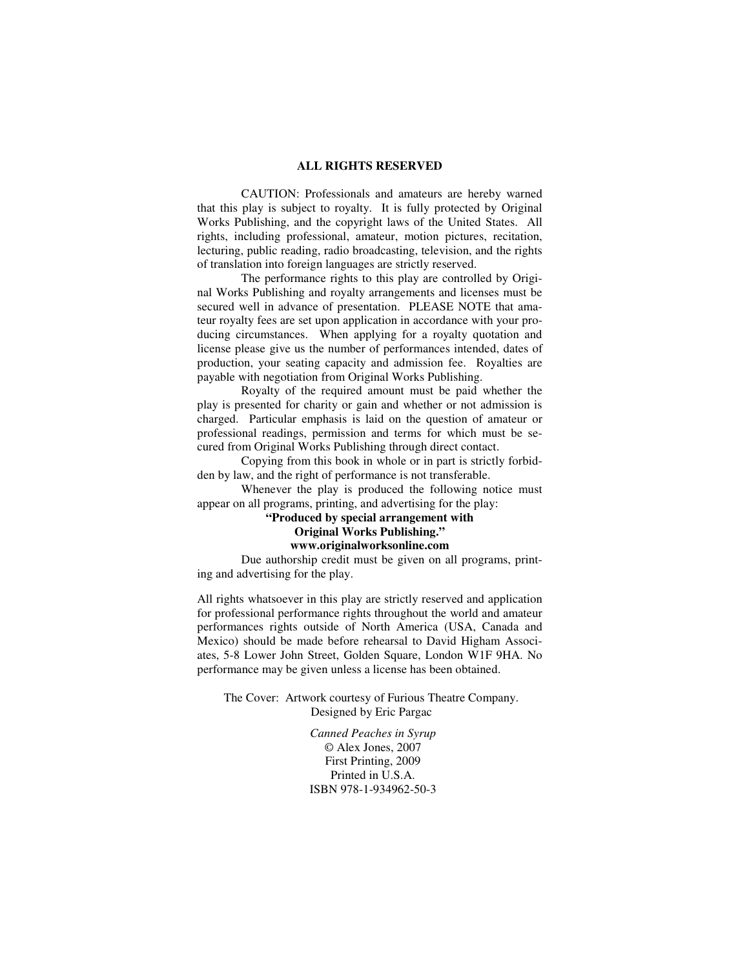#### **ALL RIGHTS RESERVED**

 CAUTION: Professionals and amateurs are hereby warned that this play is subject to royalty. It is fully protected by Original Works Publishing, and the copyright laws of the United States. All rights, including professional, amateur, motion pictures, recitation, lecturing, public reading, radio broadcasting, television, and the rights of translation into foreign languages are strictly reserved.

 The performance rights to this play are controlled by Original Works Publishing and royalty arrangements and licenses must be secured well in advance of presentation. PLEASE NOTE that amateur royalty fees are set upon application in accordance with your producing circumstances. When applying for a royalty quotation and license please give us the number of performances intended, dates of production, your seating capacity and admission fee. Royalties are payable with negotiation from Original Works Publishing.

 Royalty of the required amount must be paid whether the play is presented for charity or gain and whether or not admission is charged. Particular emphasis is laid on the question of amateur or professional readings, permission and terms for which must be secured from Original Works Publishing through direct contact.

 Copying from this book in whole or in part is strictly forbidden by law, and the right of performance is not transferable.

 Whenever the play is produced the following notice must appear on all programs, printing, and advertising for the play:

## **"Produced by special arrangement with Original Works Publishing."**

## **www.originalworksonline.com**

 Due authorship credit must be given on all programs, printing and advertising for the play.

All rights whatsoever in this play are strictly reserved and application for professional performance rights throughout the world and amateur performances rights outside of North America (USA, Canada and Mexico) should be made before rehearsal to David Higham Associates, 5-8 Lower John Street, Golden Square, London W1F 9HA. No performance may be given unless a license has been obtained.

The Cover: Artwork courtesy of Furious Theatre Company. Designed by Eric Pargac

> *Canned Peaches in Syrup ©* Alex Jones, 2007 First Printing, 2009 Printed in U.S.A. ISBN 978-1-934962-50-3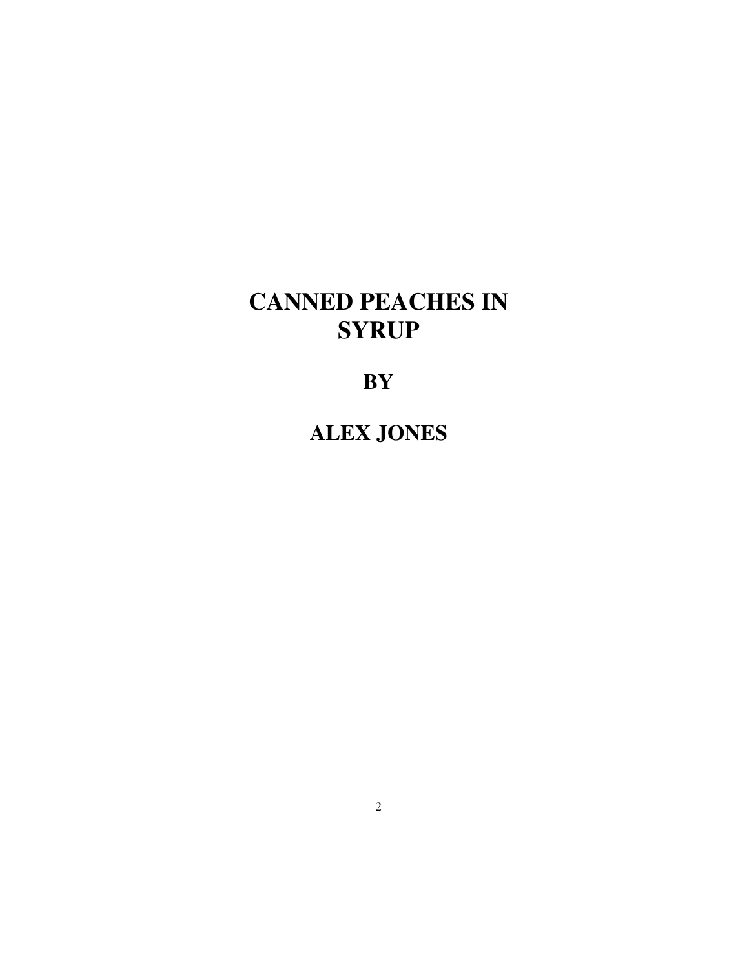# **CANNED PEACHES IN SYRUP**

**BY** 

**ALEX JONES**

2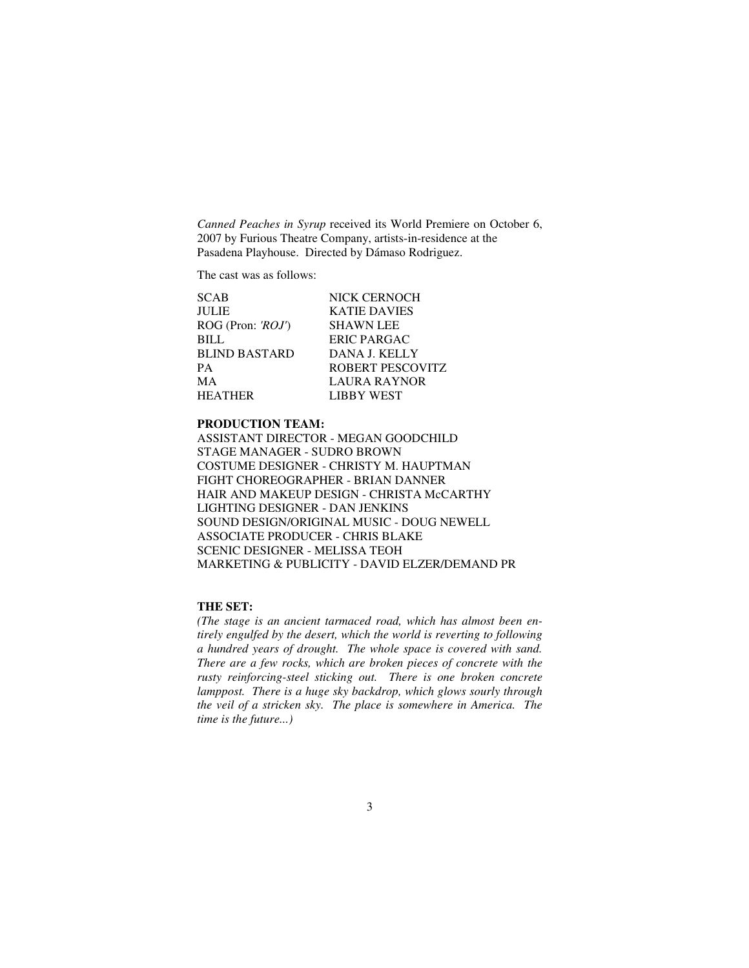*Canned Peaches in Syrup* received its World Premiere on October 6, 2007 by Furious Theatre Company, artists-in-residence at the Pasadena Playhouse. Directed by Dámaso Rodriguez.

The cast was as follows:

| <b>SCAB</b>          | NICK CERNOCH        |
|----------------------|---------------------|
| <b>JULIE</b>         | <b>KATIE DAVIES</b> |
| ROG (Pron: 'ROJ')    | <b>SHAWN LEE</b>    |
| <b>BILL</b>          | <b>ERIC PARGAC</b>  |
| <b>BLIND BASTARD</b> | DANA J. KELLY       |
| <b>PA</b>            | ROBERT PESCOVITZ    |
| MA                   | <b>LAURA RAYNOR</b> |
| <b>HEATHER</b>       | <b>LIBBY WEST</b>   |

## **PRODUCTION TEAM:**

ASSISTANT DIRECTOR - MEGAN GOODCHILD STAGE MANAGER - SUDRO BROWN COSTUME DESIGNER - CHRISTY M. HAUPTMAN FIGHT CHOREOGRAPHER - BRIAN DANNER HAIR AND MAKEUP DESIGN - CHRISTA McCARTHY LIGHTING DESIGNER - DAN JENKINS SOUND DESIGN/ORIGINAL MUSIC - DOUG NEWELL ASSOCIATE PRODUCER - CHRIS BLAKE SCENIC DESIGNER - MELISSA TEOH MARKETING & PUBLICITY - DAVID ELZER/DEMAND PR

#### **THE SET:**

*(The stage is an ancient tarmaced road, which has almost been entirely engulfed by the desert, which the world is reverting to following a hundred years of drought. The whole space is covered with sand. There are a few rocks, which are broken pieces of concrete with the rusty reinforcing-steel sticking out. There is one broken concrete lamppost. There is a huge sky backdrop, which glows sourly through the veil of a stricken sky. The place is somewhere in America. The time is the future...)*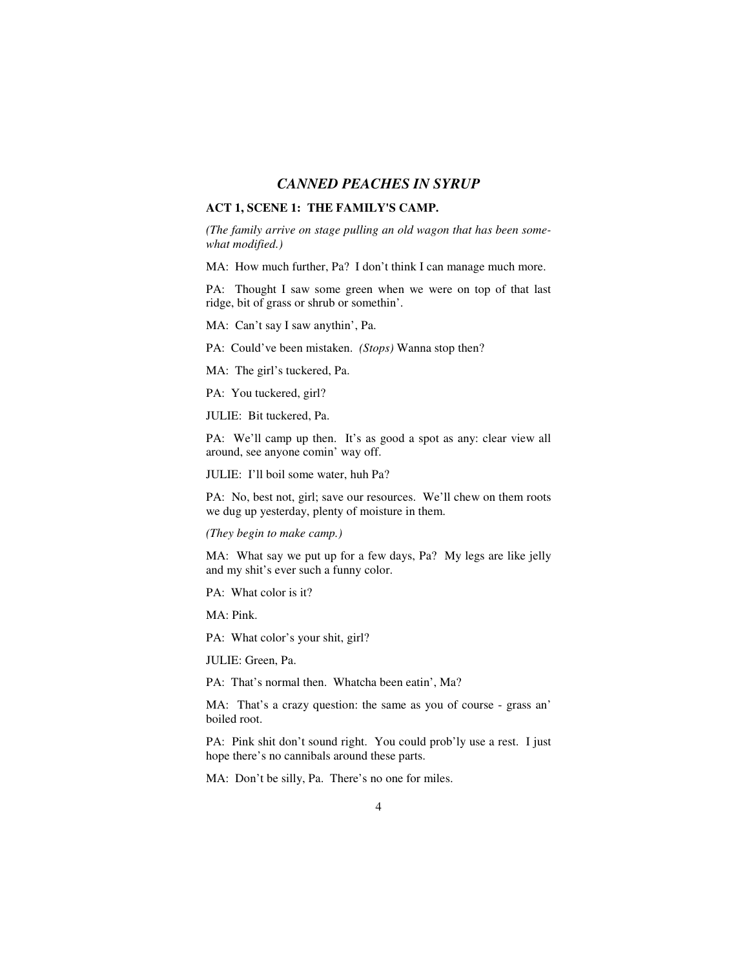## *CANNED PEACHES IN SYRUP*

### **ACT 1, SCENE 1: THE FAMILY'S CAMP.**

*(The family arrive on stage pulling an old wagon that has been somewhat modified.)* 

MA: How much further, Pa? I don't think I can manage much more.

PA: Thought I saw some green when we were on top of that last ridge, bit of grass or shrub or somethin'.

MA: Can't say I saw anythin', Pa.

PA: Could've been mistaken. *(Stops)* Wanna stop then?

MA: The girl's tuckered, Pa.

PA: You tuckered, girl?

JULIE: Bit tuckered, Pa.

PA: We'll camp up then. It's as good a spot as any: clear view all around, see anyone comin' way off.

JULIE: I'll boil some water, huh Pa?

PA: No, best not, girl; save our resources. We'll chew on them roots we dug up yesterday, plenty of moisture in them.

*(They begin to make camp.)* 

MA: What say we put up for a few days, Pa? My legs are like jelly and my shit's ever such a funny color.

PA: What color is it?

MA: Pink.

PA: What color's your shit, girl?

JULIE: Green, Pa.

PA: That's normal then. Whatcha been eatin', Ma?

MA: That's a crazy question: the same as you of course - grass an' boiled root.

PA: Pink shit don't sound right. You could prob'ly use a rest. I just hope there's no cannibals around these parts.

MA: Don't be silly, Pa. There's no one for miles.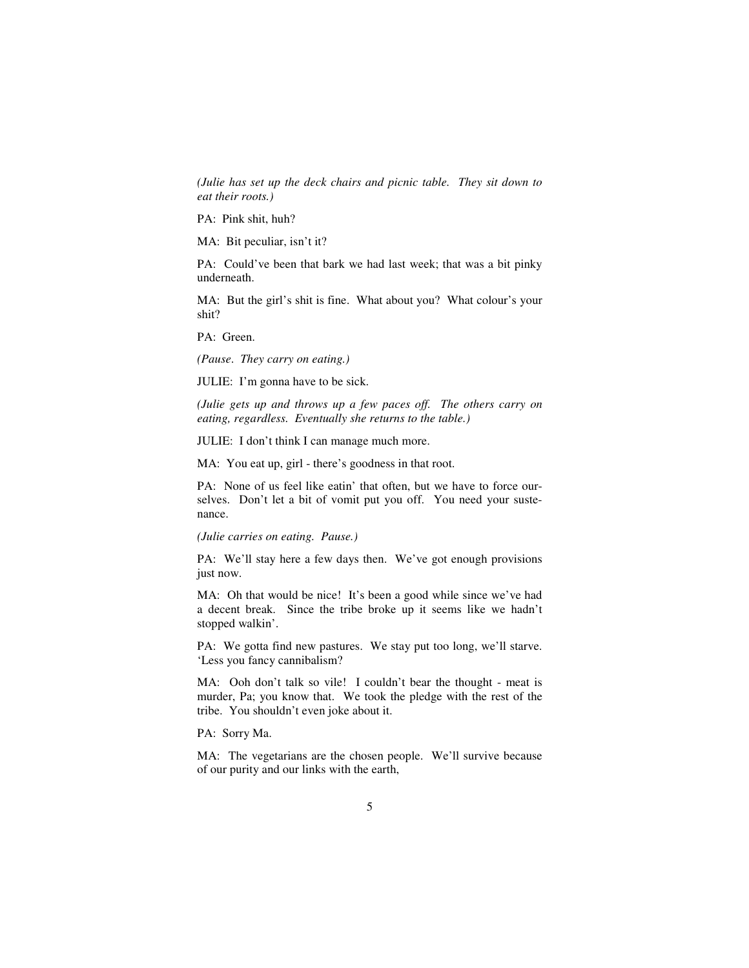*(Julie has set up the deck chairs and picnic table. They sit down to eat their roots.)* 

PA: Pink shit, huh?

MA: Bit peculiar, isn't it?

PA: Could've been that bark we had last week; that was a bit pinky underneath.

MA: But the girl's shit is fine. What about you? What colour's your shit?

PA: Green.

*(Pause*. *They carry on eating.)* 

JULIE: I'm gonna have to be sick.

*(Julie gets up and throws up a few paces off. The others carry on eating, regardless. Eventually she returns to the table.)* 

JULIE: I don't think I can manage much more.

MA: You eat up, girl - there's goodness in that root.

PA: None of us feel like eatin' that often, but we have to force ourselves. Don't let a bit of vomit put you off. You need your sustenance.

*(Julie carries on eating. Pause.)* 

PA: We'll stay here a few days then. We've got enough provisions just now.

MA: Oh that would be nice! It's been a good while since we've had a decent break. Since the tribe broke up it seems like we hadn't stopped walkin'.

PA: We gotta find new pastures. We stay put too long, we'll starve. 'Less you fancy cannibalism?

MA: Ooh don't talk so vile! I couldn't bear the thought - meat is murder, Pa; you know that. We took the pledge with the rest of the tribe. You shouldn't even joke about it.

PA: Sorry Ma.

MA: The vegetarians are the chosen people. We'll survive because of our purity and our links with the earth,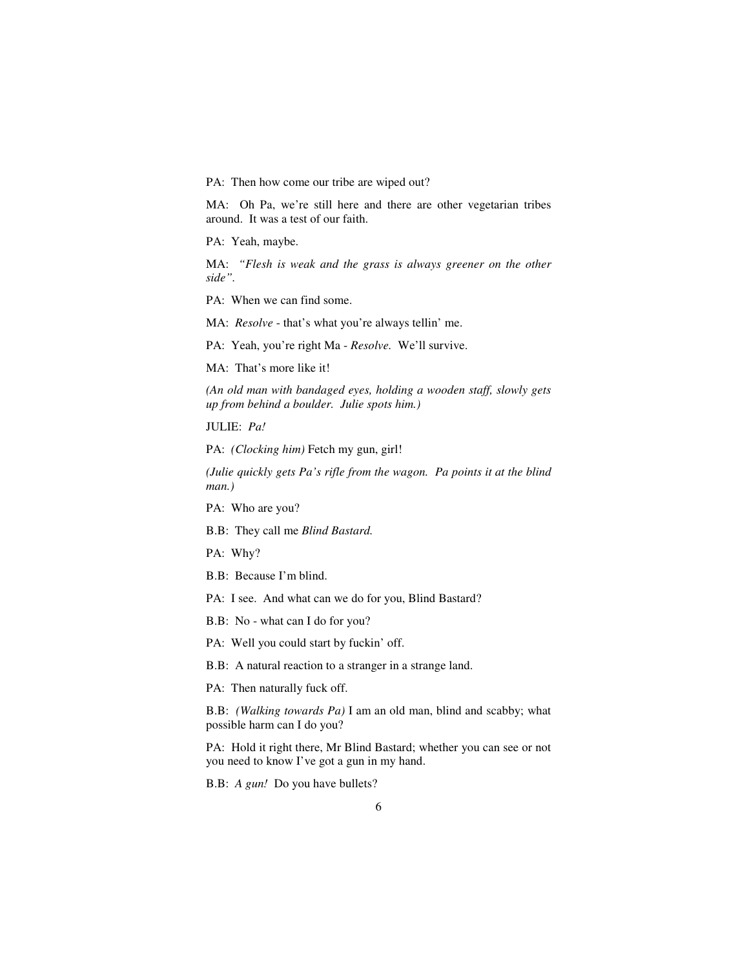PA: Then how come our tribe are wiped out?

MA: Oh Pa, we're still here and there are other vegetarian tribes around. It was a test of our faith.

PA: Yeah, maybe.

MA: "Flesh is weak and the grass is always greener on the other *side".* 

PA: When we can find some.

MA: *Resolve* - that's what you're always tellin' me.

PA: Yeah, you're right Ma - *Resolve.* We'll survive.

MA: That's more like it!

*(An old man with bandaged eyes, holding a wooden staff, slowly gets up from behind a boulder. Julie spots him.)* 

JULIE: *Pa!* 

PA: *(Clocking him)* Fetch my gun, girl!

*(Julie quickly gets Pa's rifle from the wagon. Pa points it at the blind man.)* 

PA: Who are you?

B.B: They call me *Blind Bastard.* 

PA: Why?

B.B: Because I'm blind.

PA: I see. And what can we do for you, Blind Bastard?

B.B: No - what can I do for you?

PA: Well you could start by fuckin' off.

B.B: A natural reaction to a stranger in a strange land.

PA: Then naturally fuck off.

B.B: *(Walking towards Pa)* I am an old man, blind and scabby; what possible harm can I do you?

PA: Hold it right there, Mr Blind Bastard; whether you can see or not you need to know I've got a gun in my hand.

B.B: *A gun!* Do you have bullets?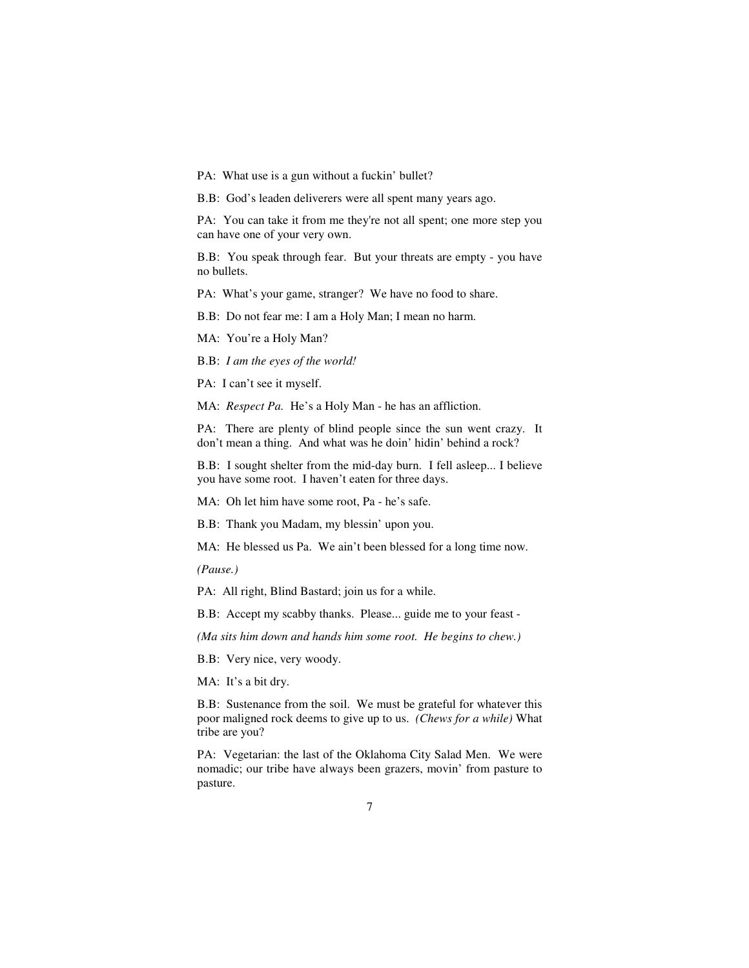PA: What use is a gun without a fuckin' bullet?

B.B: God's leaden deliverers were all spent many years ago.

PA: You can take it from me they're not all spent; one more step you can have one of your very own.

B.B: You speak through fear. But your threats are empty - you have no bullets.

PA: What's your game, stranger? We have no food to share.

B.B: Do not fear me: I am a Holy Man; I mean no harm.

MA: You're a Holy Man?

B.B: *I am the eyes of the world!* 

PA: I can't see it myself.

MA: *Respect Pa.* He's a Holy Man - he has an affliction.

PA: There are plenty of blind people since the sun went crazy. It don't mean a thing. And what was he doin' hidin' behind a rock?

B.B: I sought shelter from the mid-day burn. I fell asleep... I believe you have some root. I haven't eaten for three days.

MA: Oh let him have some root, Pa - he's safe.

B.B: Thank you Madam, my blessin' upon you.

MA: He blessed us Pa. We ain't been blessed for a long time now.

*(Pause.)* 

PA: All right, Blind Bastard; join us for a while.

B.B: Accept my scabby thanks. Please... guide me to your feast -

*(Ma sits him down and hands him some root. He begins to chew.)* 

B.B: Very nice, very woody.

MA: It's a bit dry.

B.B: Sustenance from the soil. We must be grateful for whatever this poor maligned rock deems to give up to us. *(Chews for a while)* What tribe are you?

PA: Vegetarian: the last of the Oklahoma City Salad Men. We were nomadic; our tribe have always been grazers, movin' from pasture to pasture.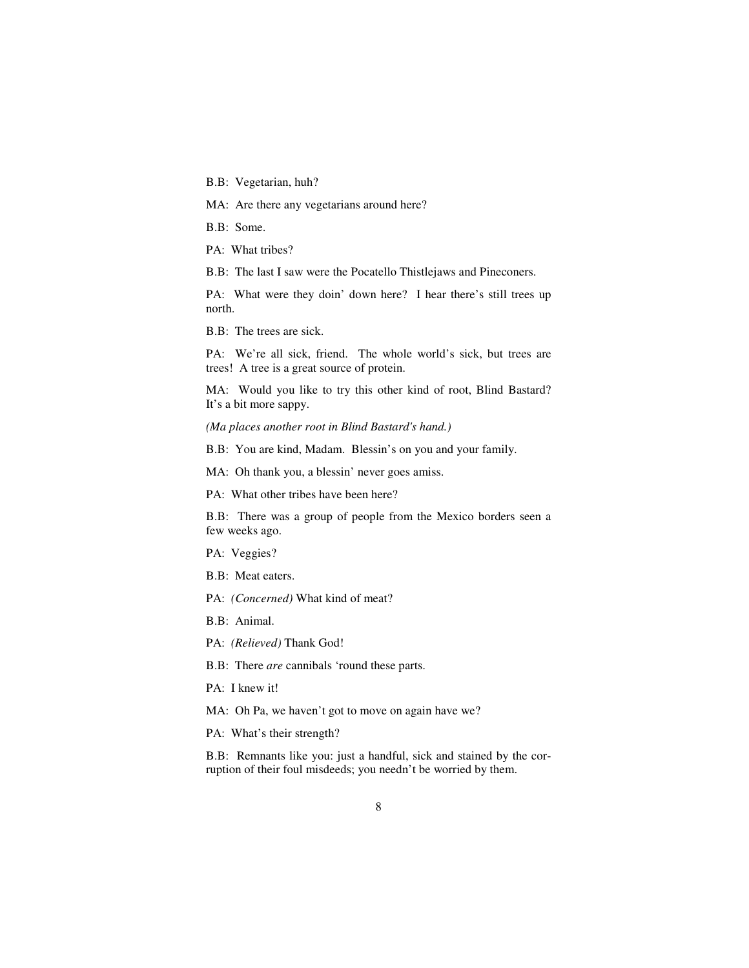B.B: Vegetarian, huh?

MA: Are there any vegetarians around here?

B.B: Some.

PA: What tribes?

B.B: The last I saw were the Pocatello Thistlejaws and Pineconers.

PA: What were they doin' down here? I hear there's still trees up north.

B.B: The trees are sick.

PA: We're all sick, friend. The whole world's sick, but trees are trees! A tree is a great source of protein.

MA: Would you like to try this other kind of root, Blind Bastard? It's a bit more sappy.

*(Ma places another root in Blind Bastard's hand.)* 

B.B: You are kind, Madam. Blessin's on you and your family.

MA: Oh thank you, a blessin' never goes amiss.

PA: What other tribes have been here?

B.B: There was a group of people from the Mexico borders seen a few weeks ago.

PA: Veggies?

B.B: Meat eaters.

PA: *(Concerned)* What kind of meat?

B.B: Animal.

PA: *(Relieved)* Thank God!

B.B: There *are* cannibals 'round these parts.

PA: I knew it!

MA: Oh Pa, we haven't got to move on again have we?

PA: What's their strength?

B.B: Remnants like you: just a handful, sick and stained by the corruption of their foul misdeeds; you needn't be worried by them.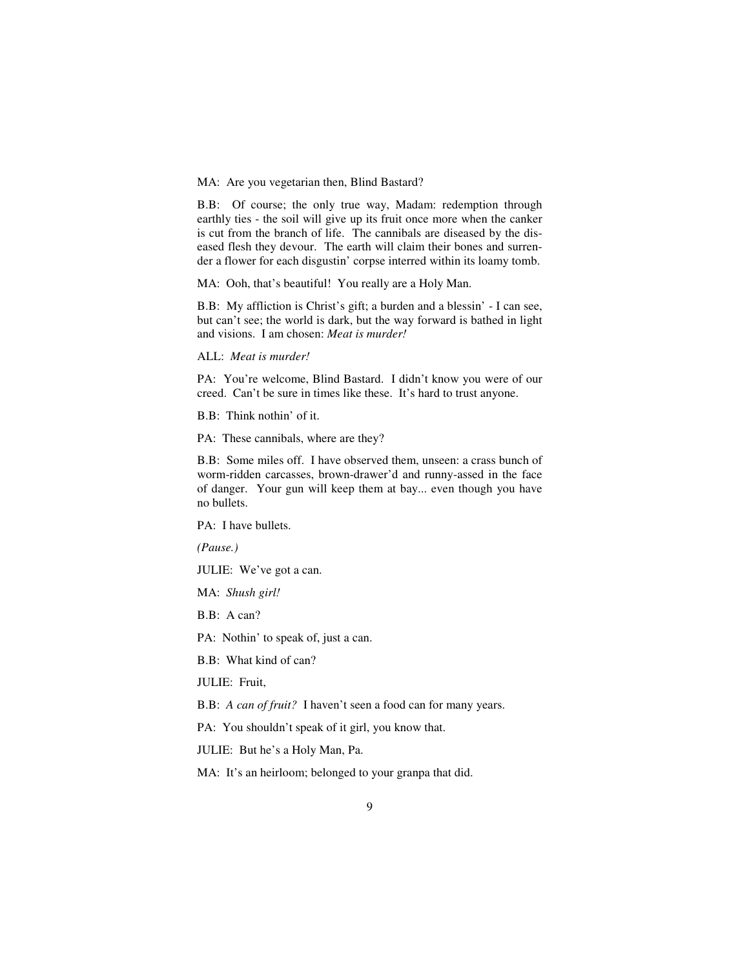MA: Are you vegetarian then, Blind Bastard?

B.B: Of course; the only true way, Madam: redemption through earthly ties - the soil will give up its fruit once more when the canker is cut from the branch of life. The cannibals are diseased by the diseased flesh they devour. The earth will claim their bones and surrender a flower for each disgustin' corpse interred within its loamy tomb.

MA: Ooh, that's beautiful! You really are a Holy Man.

B.B: My affliction is Christ's gift; a burden and a blessin' - I can see, but can't see; the world is dark, but the way forward is bathed in light and visions. I am chosen: *Meat is murder!* 

ALL: *Meat is murder!* 

PA: You're welcome, Blind Bastard. I didn't know you were of our creed. Can't be sure in times like these. It's hard to trust anyone.

B.B: Think nothin' of it.

PA: These cannibals, where are they?

B.B: Some miles off. I have observed them, unseen: a crass bunch of worm-ridden carcasses, brown-drawer'd and runny-assed in the face of danger. Your gun will keep them at bay... even though you have no bullets.

PA: I have bullets.

*(Pause.)* 

JULIE: We've got a can.

MA: *Shush girl!* 

B.B: A can?

PA: Nothin' to speak of, just a can.

B.B: What kind of can?

JULIE: Fruit,

B.B: *A can of fruit?* I haven't seen a food can for many years.

PA: You shouldn't speak of it girl, you know that.

JULIE: But he's a Holy Man, Pa.

MA: It's an heirloom; belonged to your granpa that did.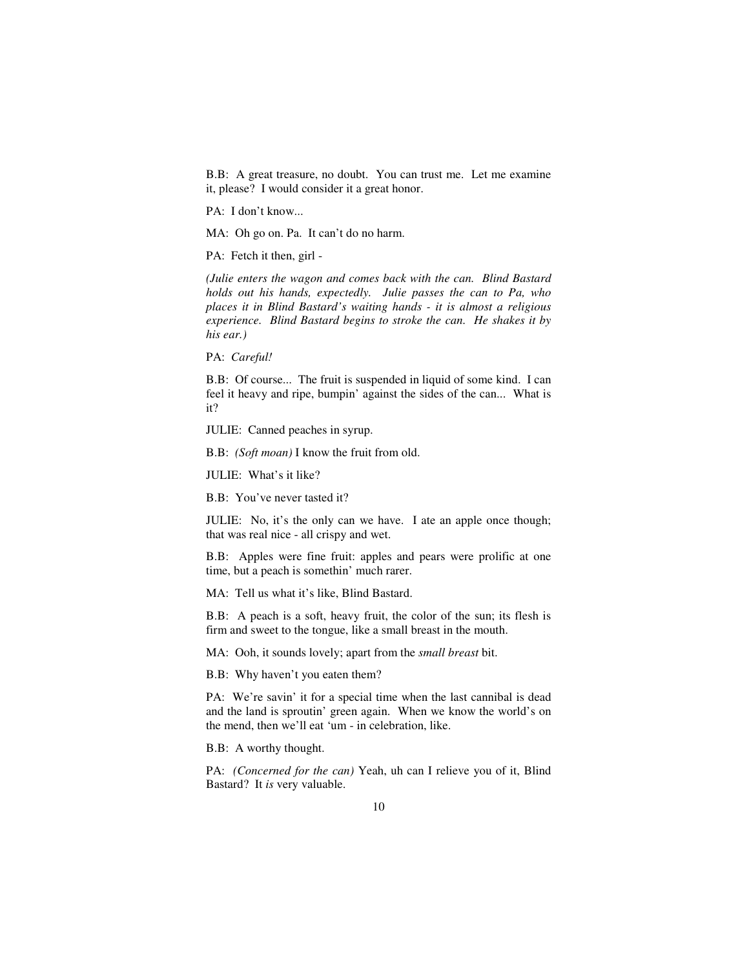B.B: A great treasure, no doubt. You can trust me. Let me examine it, please? I would consider it a great honor.

PA: I don't know...

MA: Oh go on. Pa. It can't do no harm.

PA: Fetch it then, girl -

*(Julie enters the wagon and comes back with the can. Blind Bastard holds out his hands, expectedly. Julie passes the can to Pa, who places it in Blind Bastard's waiting hands - it is almost a religious experience. Blind Bastard begins to stroke the can. He shakes it by his ear.)* 

PA: *Careful!* 

B.B: Of course... The fruit is suspended in liquid of some kind. I can feel it heavy and ripe, bumpin' against the sides of the can... What is it?

JULIE: Canned peaches in syrup.

B.B: *(Soft moan)* I know the fruit from old.

JULIE: What's it like?

B.B: You've never tasted it?

JULIE: No, it's the only can we have. I ate an apple once though; that was real nice - all crispy and wet.

B.B: Apples were fine fruit: apples and pears were prolific at one time, but a peach is somethin' much rarer.

MA: Tell us what it's like, Blind Bastard.

B.B: A peach is a soft, heavy fruit, the color of the sun; its flesh is firm and sweet to the tongue, like a small breast in the mouth.

MA: Ooh, it sounds lovely; apart from the *small breast* bit.

B.B: Why haven't you eaten them?

PA: We're savin' it for a special time when the last cannibal is dead and the land is sproutin' green again. When we know the world's on the mend, then we'll eat 'um - in celebration, like.

B.B: A worthy thought.

PA: *(Concerned for the can)* Yeah, uh can I relieve you of it, Blind Bastard? It *is* very valuable.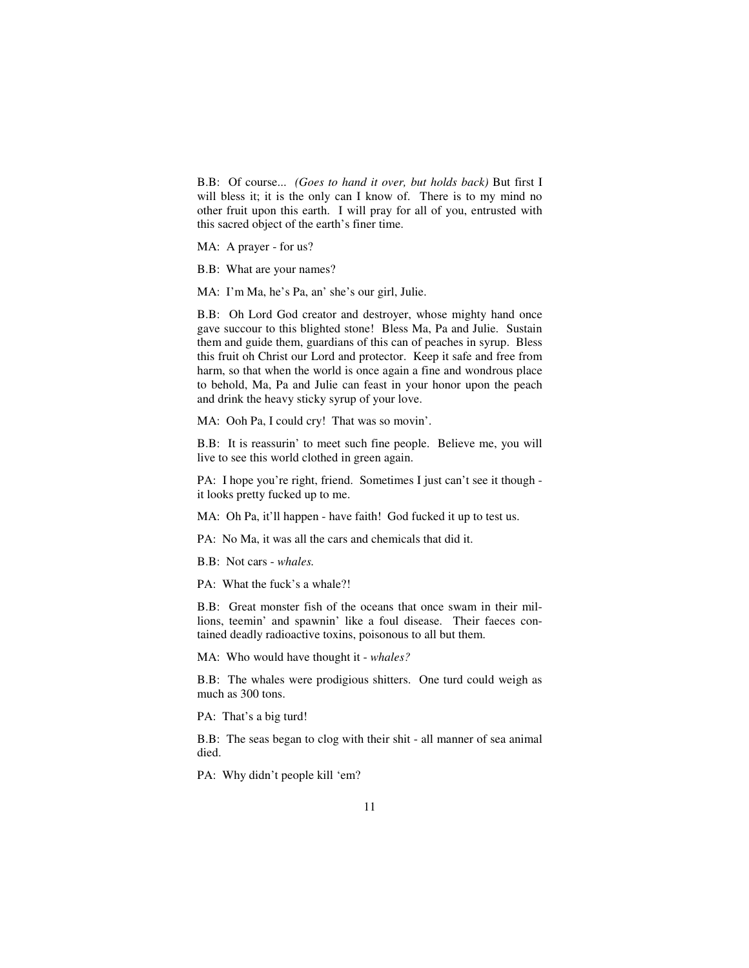B.B: Of course... *(Goes to hand it over, but holds back)* But first I will bless it; it is the only can I know of. There is to my mind no other fruit upon this earth. I will pray for all of you, entrusted with this sacred object of the earth's finer time.

MA: A prayer - for us?

B.B: What are your names?

MA: I'm Ma, he's Pa, an' she's our girl, Julie.

B.B: Oh Lord God creator and destroyer, whose mighty hand once gave succour to this blighted stone! Bless Ma, Pa and Julie. Sustain them and guide them, guardians of this can of peaches in syrup. Bless this fruit oh Christ our Lord and protector. Keep it safe and free from harm, so that when the world is once again a fine and wondrous place to behold, Ma, Pa and Julie can feast in your honor upon the peach and drink the heavy sticky syrup of your love.

MA: Ooh Pa, I could cry! That was so movin'.

B.B: It is reassurin' to meet such fine people. Believe me, you will live to see this world clothed in green again.

PA: I hope you're right, friend. Sometimes I just can't see it though it looks pretty fucked up to me.

MA: Oh Pa, it'll happen - have faith! God fucked it up to test us.

PA: No Ma, it was all the cars and chemicals that did it.

B.B: Not cars - *whales.* 

PA: What the fuck's a whale?!

B.B: Great monster fish of the oceans that once swam in their millions, teemin' and spawnin' like a foul disease. Their faeces contained deadly radioactive toxins, poisonous to all but them.

MA: Who would have thought it - *whales?* 

B.B: The whales were prodigious shitters. One turd could weigh as much as 300 tons.

PA: That's a big turd!

B.B: The seas began to clog with their shit - all manner of sea animal died.

PA: Why didn't people kill 'em?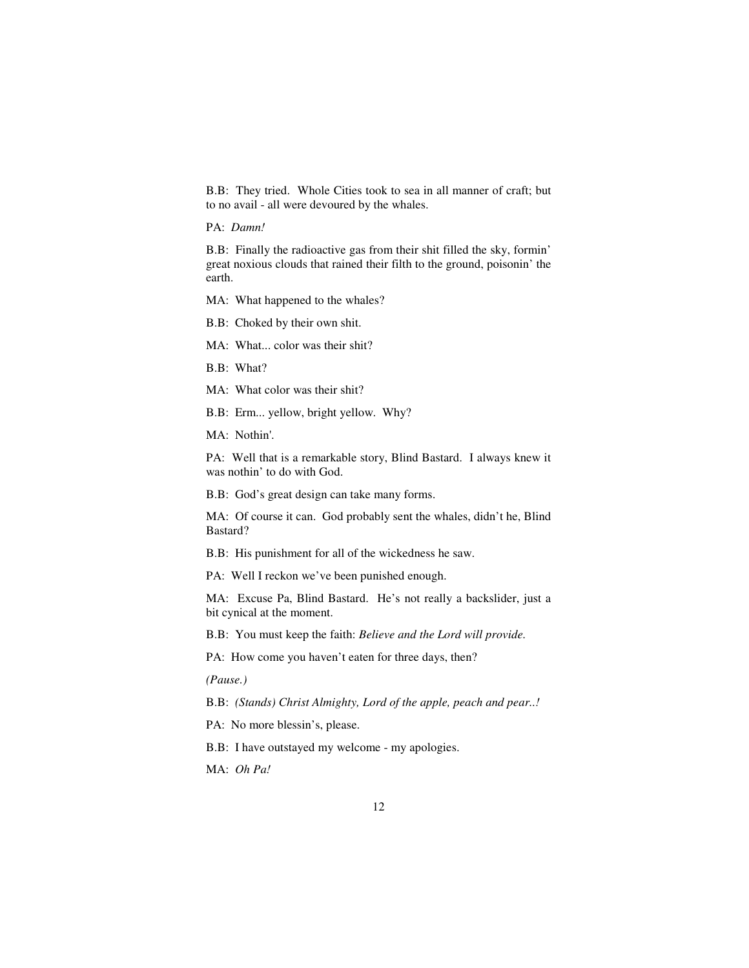B.B: They tried. Whole Cities took to sea in all manner of craft; but to no avail - all were devoured by the whales.

PA: *Damn!* 

B.B: Finally the radioactive gas from their shit filled the sky, formin' great noxious clouds that rained their filth to the ground, poisonin' the earth.

MA: What happened to the whales?

B.B: Choked by their own shit.

MA: What... color was their shit?

B.B: What?

MA: What color was their shit?

B.B: Erm... yellow, bright yellow. Why?

MA: Nothin'.

PA: Well that is a remarkable story, Blind Bastard. I always knew it was nothin' to do with God.

B.B: God's great design can take many forms.

MA: Of course it can. God probably sent the whales, didn't he, Blind Bastard?

B.B: His punishment for all of the wickedness he saw.

PA: Well I reckon we've been punished enough.

MA: Excuse Pa, Blind Bastard. He's not really a backslider, just a bit cynical at the moment.

B.B: You must keep the faith: *Believe and the Lord will provide.* 

PA: How come you haven't eaten for three days, then?

*(Pause.)*

B.B: *(Stands) Christ Almighty, Lord of the apple, peach and pear..!* 

PA: No more blessin's, please.

B.B: I have outstayed my welcome - my apologies.

MA: *Oh Pa!*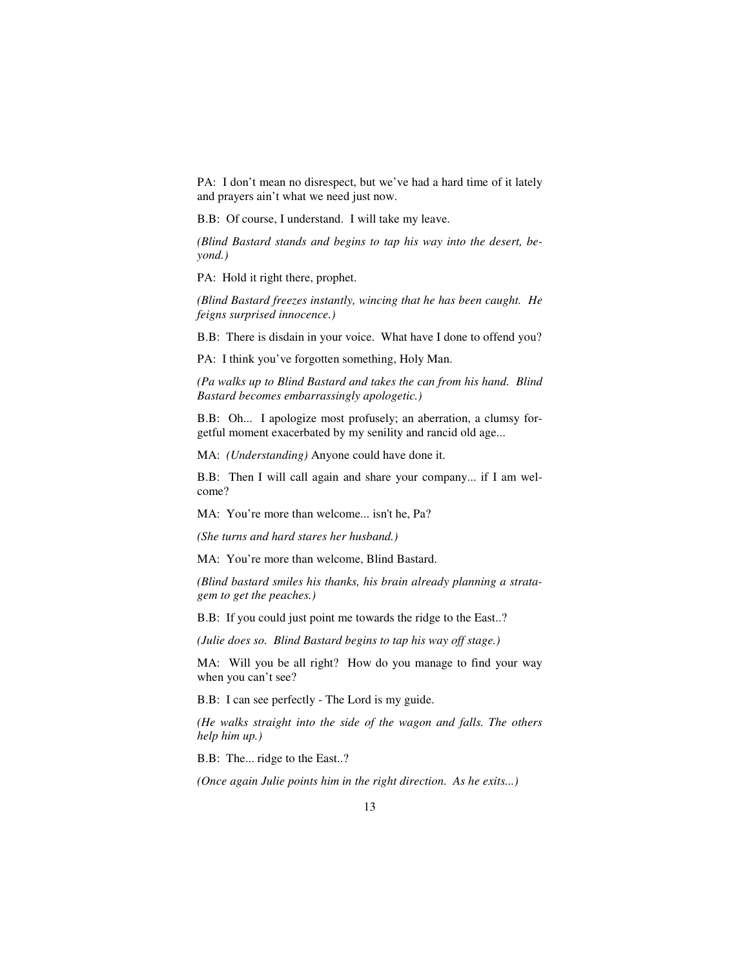PA: I don't mean no disrespect, but we've had a hard time of it lately and prayers ain't what we need just now.

B.B: Of course, I understand. I will take my leave.

*(Blind Bastard stands and begins to tap his way into the desert, beyond.)* 

PA: Hold it right there, prophet.

*(Blind Bastard freezes instantly, wincing that he has been caught. He feigns surprised innocence.)*

B.B: There is disdain in your voice. What have I done to offend you?

PA: I think you've forgotten something, Holy Man.

*(Pa walks up to Blind Bastard and takes the can from his hand. Blind Bastard becomes embarrassingly apologetic.)* 

B.B: Oh... I apologize most profusely; an aberration, a clumsy forgetful moment exacerbated by my senility and rancid old age...

MA: *(Understanding)* Anyone could have done it.

B.B: Then I will call again and share your company... if I am welcome?

MA: You're more than welcome... isn't he, Pa?

*(She turns and hard stares her husband.)* 

MA: You're more than welcome, Blind Bastard.

*(Blind bastard smiles his thanks, his brain already planning a stratagem to get the peaches.)* 

B.B: If you could just point me towards the ridge to the East..?

*(Julie does so. Blind Bastard begins to tap his way off stage.)* 

MA: Will you be all right? How do you manage to find your way when you can't see?

B.B: I can see perfectly - The Lord is my guide.

*(He walks straight into the side of the wagon and falls. The others help him up.)* 

B.B: The... ridge to the East..?

*(Once again Julie points him in the right direction. As he exits...)*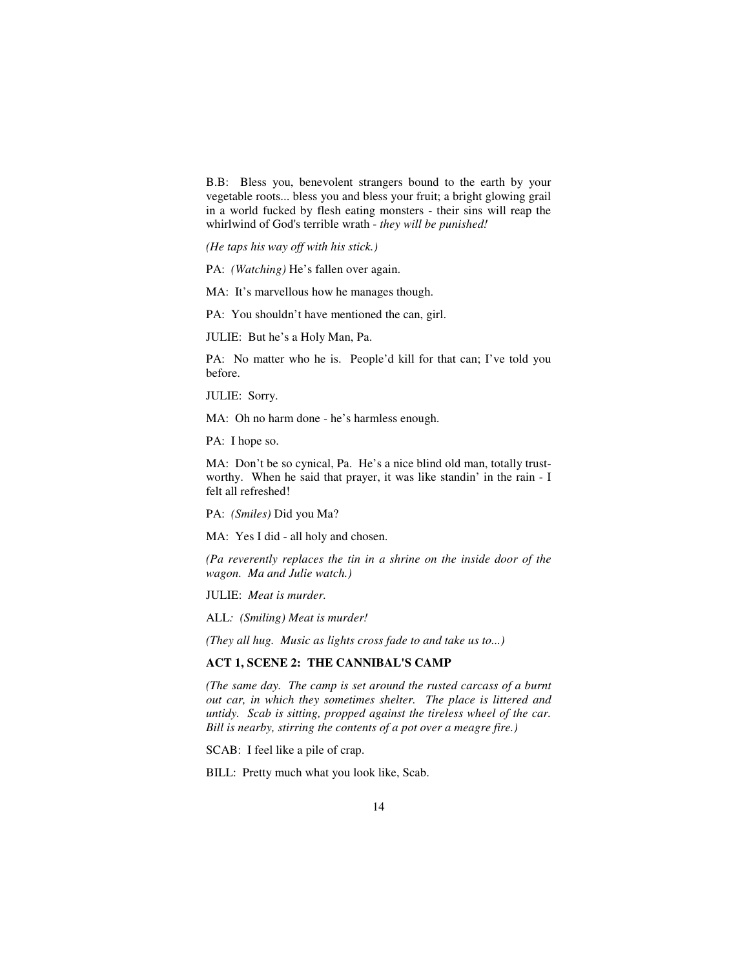B.B: Bless you, benevolent strangers bound to the earth by your vegetable roots... bless you and bless your fruit; a bright glowing grail in a world fucked by flesh eating monsters - their sins will reap the whirlwind of God's terrible wrath - *they will be punished!* 

*(He taps his way off with his stick.)* 

PA: *(Watching)* He's fallen over again.

MA: It's marvellous how he manages though.

PA: You shouldn't have mentioned the can, girl.

JULIE: But he's a Holy Man, Pa.

PA: No matter who he is. People'd kill for that can; I've told you before.

JULIE: Sorry.

MA: Oh no harm done - he's harmless enough.

PA: I hope so.

MA: Don't be so cynical, Pa. He's a nice blind old man, totally trustworthy. When he said that prayer, it was like standin' in the rain - I felt all refreshed!

PA: *(Smiles)* Did you Ma?

MA: Yes I did - all holy and chosen.

*(Pa reverently replaces the tin in a shrine on the inside door of the wagon. Ma and Julie watch.)* 

JULIE: *Meat is murder.* 

ALL*: (Smiling) Meat is murder!* 

*(They all hug. Music as lights cross fade to and take us to...)* 

## **ACT 1, SCENE 2: THE CANNIBAL'S CAMP**

*(The same day. The camp is set around the rusted carcass of a burnt out car, in which they sometimes shelter. The place is littered and untidy. Scab is sitting, propped against the tireless wheel of the car. Bill is nearby, stirring the contents of a pot over a meagre fire.)* 

SCAB: I feel like a pile of crap.

BILL: Pretty much what you look like, Scab.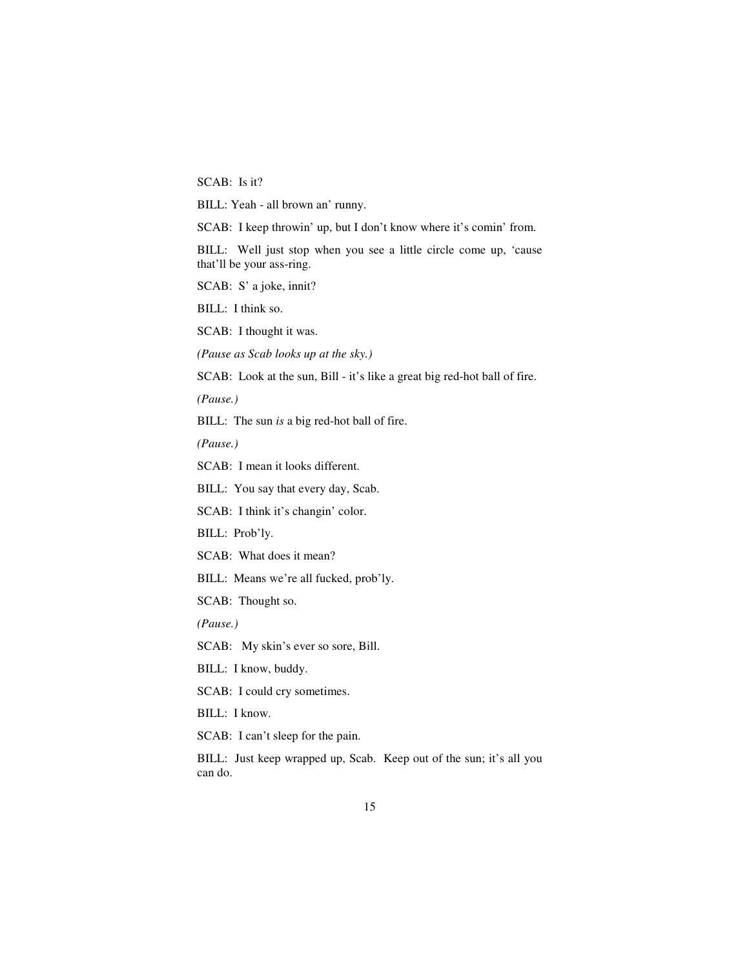SCAB: Is it?

BILL: Yeah - all brown an' runny.

SCAB: I keep throwin' up, but I don't know where it's comin' from.

BILL: Well just stop when you see a little circle come up, 'cause that'll be your ass-ring.

SCAB: S' a joke, innit?

BILL: I think so.

SCAB: I thought it was.

*(Pause as Scab looks up at the sky.)* 

SCAB: Look at the sun, Bill - it's like a great big red-hot ball of fire.

*(Pause.)* 

BILL: The sun *is* a big red-hot ball of fire.

*(Pause.)* 

SCAB: I mean it looks different.

BILL: You say that every day, Scab.

SCAB: I think it's changin' color.

BILL: Prob'ly.

SCAB: What does it mean?

BILL: Means we're all fucked, prob'ly.

SCAB: Thought so.

*(Pause.)* 

SCAB: My skin's ever so sore, Bill.

BILL: I know, buddy.

SCAB: I could cry sometimes.

BILL: I know.

SCAB: I can't sleep for the pain.

BILL: Just keep wrapped up, Scab. Keep out of the sun; it's all you can do.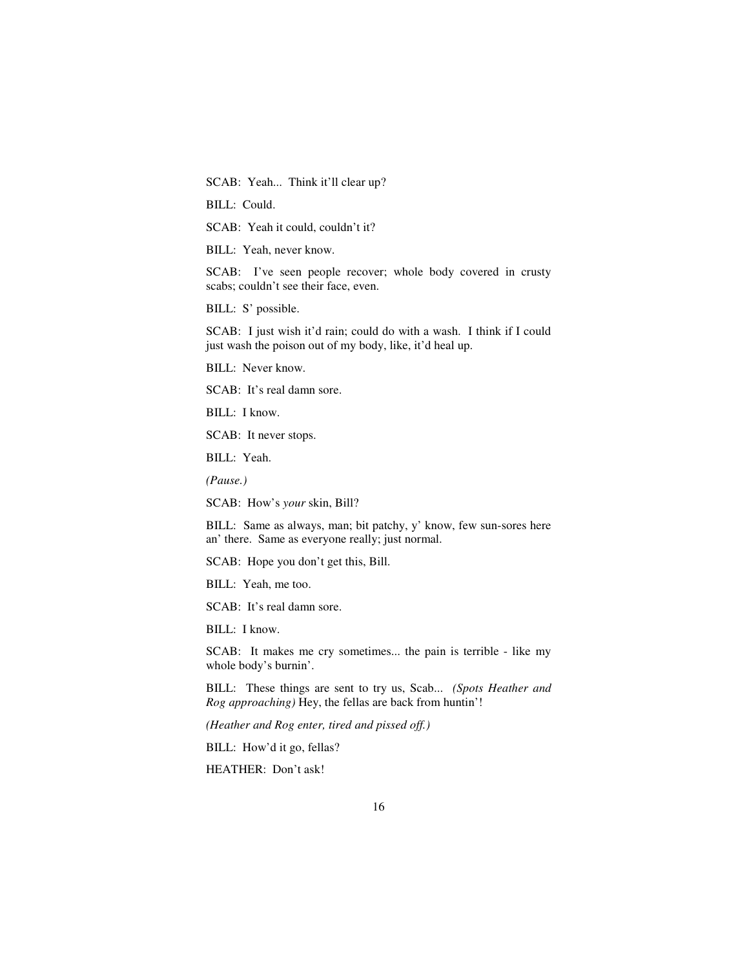SCAB: Yeah... Think it'll clear up?

BILL: Could.

SCAB: Yeah it could, couldn't it?

BILL: Yeah, never know.

SCAB: I've seen people recover; whole body covered in crusty scabs; couldn't see their face, even.

BILL: S' possible.

SCAB: I just wish it'd rain; could do with a wash. I think if I could just wash the poison out of my body, like, it'd heal up.

BILL: Never know.

SCAB: It's real damn sore.

BILL: I know.

SCAB: It never stops.

BILL: Yeah.

*(Pause.)* 

SCAB: How's *your* skin, Bill?

BILL: Same as always, man; bit patchy, y' know, few sun-sores here an' there. Same as everyone really; just normal.

SCAB: Hope you don't get this, Bill.

BILL: Yeah, me too.

SCAB: It's real damn sore.

BILL: I know.

SCAB: It makes me cry sometimes... the pain is terrible - like my whole body's burnin'.

BILL: These things are sent to try us, Scab... *(Spots Heather and Rog approaching)* Hey, the fellas are back from huntin'!

*(Heather and Rog enter, tired and pissed off.)* 

BILL: How'd it go, fellas?

HEATHER: Don't ask!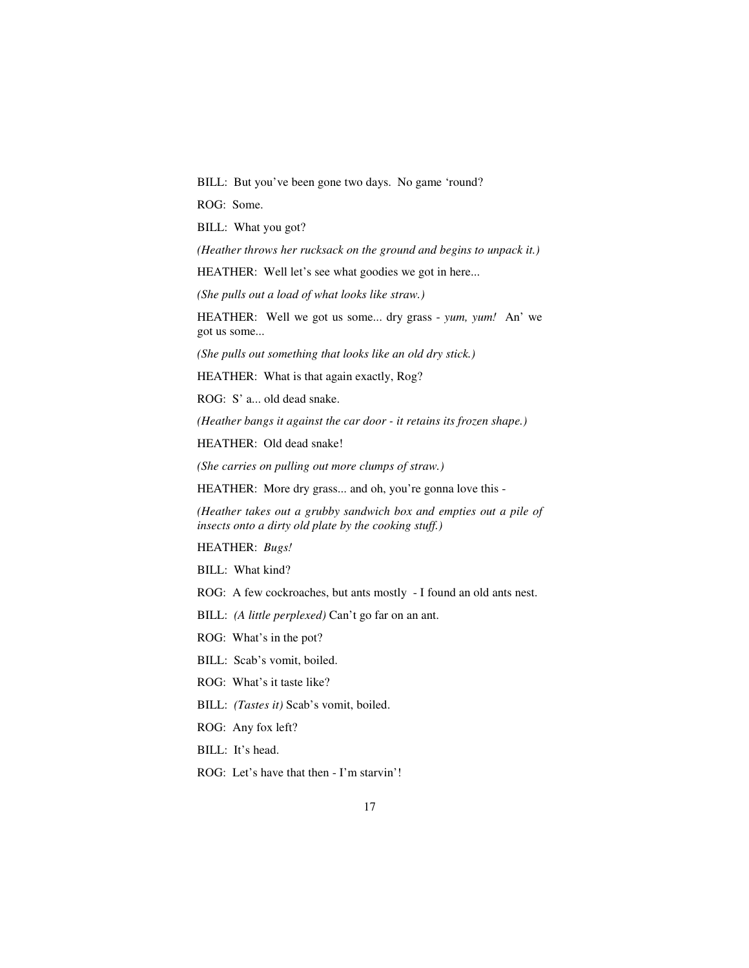BILL: But you've been gone two days. No game 'round?

ROG: Some.

BILL: What you got?

*(Heather throws her rucksack on the ground and begins to unpack it.)* 

HEATHER: Well let's see what goodies we got in here...

*(She pulls out a load of what looks like straw.)* 

HEATHER: Well we got us some... dry grass - *yum, yum!* An' we got us some...

*(She pulls out something that looks like an old dry stick.)* 

HEATHER: What is that again exactly, Rog?

ROG: S' a... old dead snake.

*(Heather bangs it against the car door - it retains its frozen shape.)* 

HEATHER: Old dead snake!

*(She carries on pulling out more clumps of straw.)* 

HEATHER: More dry grass... and oh, you're gonna love this -

*(Heather takes out a grubby sandwich box and empties out a pile of insects onto a dirty old plate by the cooking stuff.)* 

HEATHER: *Bugs!* 

BILL: What kind?

ROG: A few cockroaches, but ants mostly - I found an old ants nest.

BILL: *(A little perplexed)* Can't go far on an ant.

ROG: What's in the pot?

BILL: Scab's vomit, boiled.

ROG: What's it taste like?

BILL: *(Tastes it)* Scab's vomit, boiled.

ROG: Any fox left?

BILL: It's head.

ROG: Let's have that then - I'm starvin'!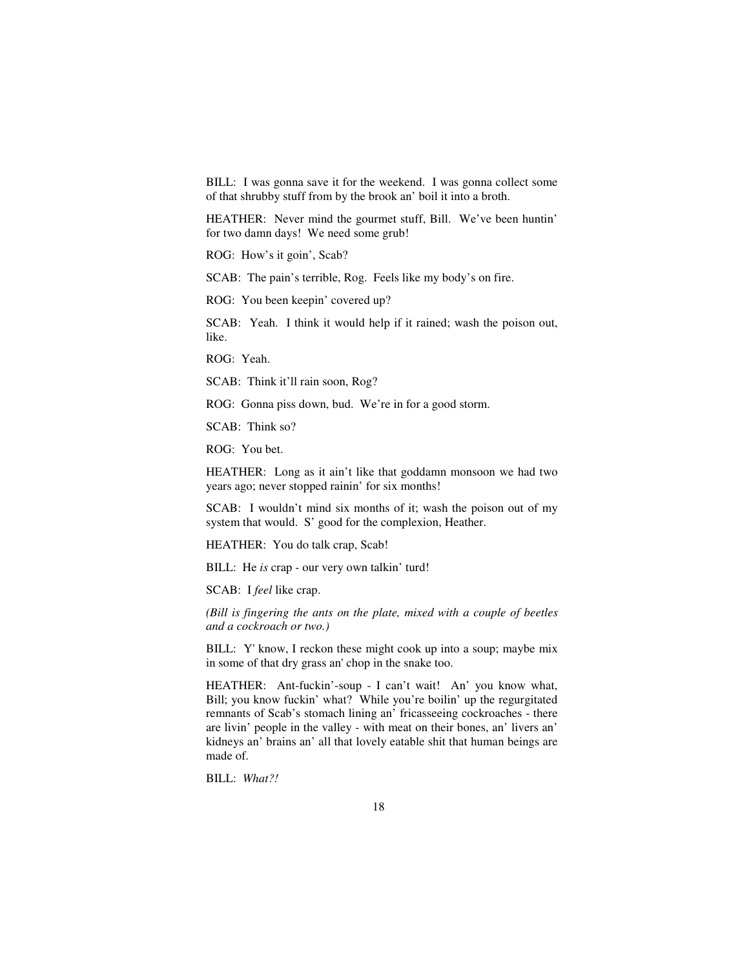BILL: I was gonna save it for the weekend. I was gonna collect some of that shrubby stuff from by the brook an' boil it into a broth.

HEATHER: Never mind the gourmet stuff, Bill. We've been huntin' for two damn days! We need some grub!

ROG: How's it goin', Scab?

SCAB: The pain's terrible, Rog. Feels like my body's on fire.

ROG: You been keepin' covered up?

SCAB: Yeah. I think it would help if it rained; wash the poison out, like.

ROG: Yeah.

SCAB: Think it'll rain soon, Rog?

ROG: Gonna piss down, bud. We're in for a good storm.

SCAB: Think so?

ROG: You bet.

HEATHER: Long as it ain't like that goddamn monsoon we had two years ago; never stopped rainin' for six months!

SCAB: I wouldn't mind six months of it; wash the poison out of my system that would. S' good for the complexion, Heather.

HEATHER: You do talk crap, Scab!

BILL: He *is* crap - our very own talkin' turd!

SCAB: I *feel* like crap.

*(Bill is fingering the ants on the plate, mixed with a couple of beetles and a cockroach or two.)* 

BILL: Y' know, I reckon these might cook up into a soup; maybe mix in some of that dry grass an' chop in the snake too.

HEATHER: Ant-fuckin'-soup - I can't wait! An' you know what, Bill; you know fuckin' what? While you're boilin' up the regurgitated remnants of Scab's stomach lining an' fricasseeing cockroaches - there are livin' people in the valley - with meat on their bones, an' livers an' kidneys an' brains an' all that lovely eatable shit that human beings are made of.

BILL: *What?!*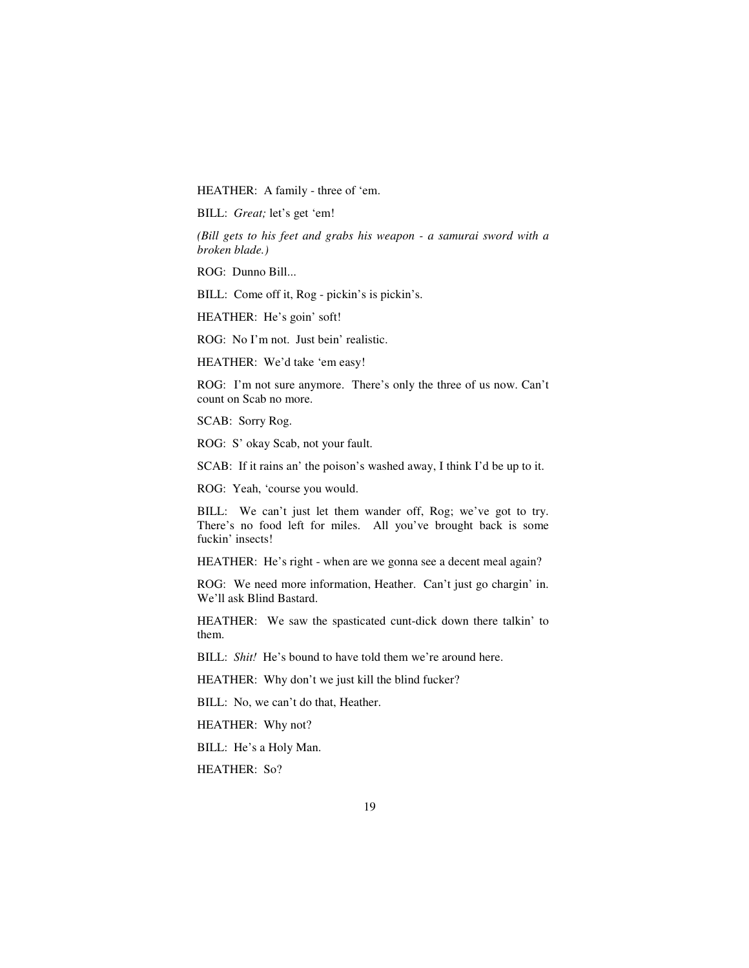HEATHER: A family - three of 'em.

BILL: *Great;* let's get 'em!

*(Bill gets to his feet and grabs his weapon - a samurai sword with a broken blade.)* 

ROG: Dunno Bill...

BILL: Come off it, Rog - pickin's is pickin's.

HEATHER: He's goin' soft!

ROG: No I'm not. Just bein' realistic.

HEATHER: We'd take 'em easy!

ROG: I'm not sure anymore. There's only the three of us now. Can't count on Scab no more.

SCAB: Sorry Rog.

ROG: S' okay Scab, not your fault.

SCAB: If it rains an' the poison's washed away, I think I'd be up to it.

ROG: Yeah, 'course you would.

BILL: We can't just let them wander off, Rog; we've got to try. There's no food left for miles. All you've brought back is some fuckin' insects!

HEATHER: He's right - when are we gonna see a decent meal again?

ROG: We need more information, Heather. Can't just go chargin' in. We'll ask Blind Bastard.

HEATHER: We saw the spasticated cunt-dick down there talkin' to them.

BILL: *Shit!* He's bound to have told them we're around here.

HEATHER: Why don't we just kill the blind fucker?

BILL: No, we can't do that, Heather.

HEATHER: Why not?

BILL: He's a Holy Man.

HEATHER: So?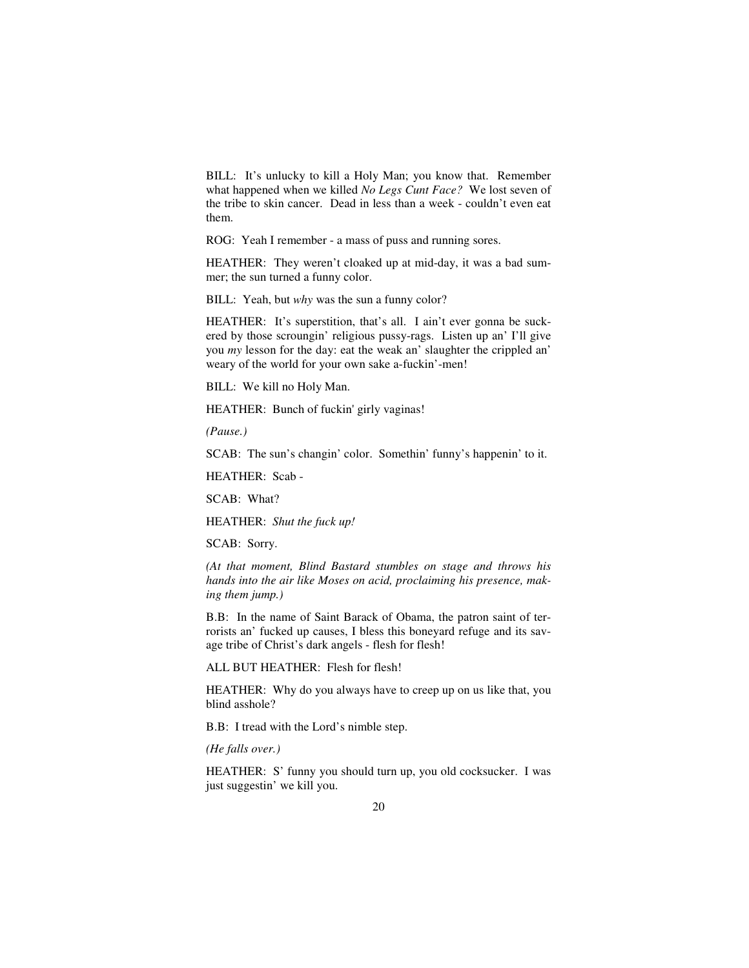BILL: It's unlucky to kill a Holy Man; you know that. Remember what happened when we killed *No Legs Cunt Face?* We lost seven of the tribe to skin cancer. Dead in less than a week - couldn't even eat them.

ROG: Yeah I remember - a mass of puss and running sores.

HEATHER: They weren't cloaked up at mid-day, it was a bad summer; the sun turned a funny color.

BILL: Yeah, but *why* was the sun a funny color?

HEATHER: It's superstition, that's all. I ain't ever gonna be suckered by those scroungin' religious pussy-rags. Listen up an' I'll give you *my* lesson for the day: eat the weak an' slaughter the crippled an' weary of the world for your own sake a-fuckin'-men!

BILL: We kill no Holy Man.

HEATHER: Bunch of fuckin' girly vaginas!

*(Pause.)* 

SCAB: The sun's changin' color. Somethin' funny's happenin' to it.

HEATHER: Scab -

SCAB: What?

HEATHER: *Shut the fuck up!* 

SCAB: Sorry.

*(At that moment, Blind Bastard stumbles on stage and throws his hands into the air like Moses on acid, proclaiming his presence, making them jump.)* 

B.B: In the name of Saint Barack of Obama, the patron saint of terrorists an' fucked up causes, I bless this boneyard refuge and its savage tribe of Christ's dark angels - flesh for flesh!

ALL BUT HEATHER: Flesh for flesh!

HEATHER: Why do you always have to creep up on us like that, you blind asshole?

B.B: I tread with the Lord's nimble step.

*(He falls over.)*

HEATHER: S' funny you should turn up, you old cocksucker. I was just suggestin' we kill you.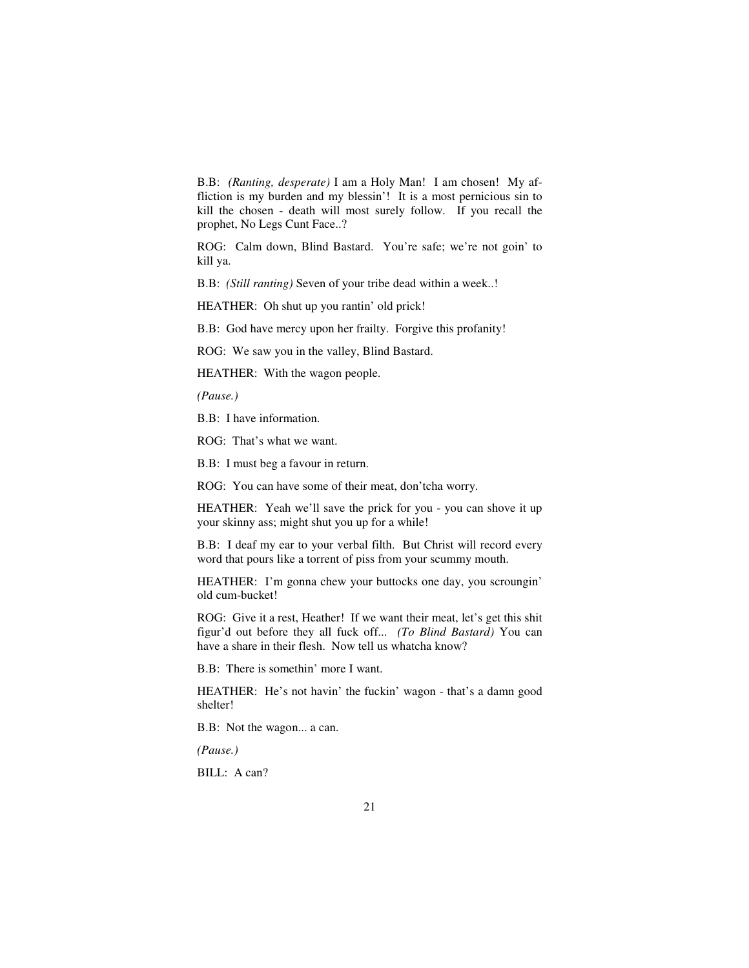B.B: *(Ranting, desperate)* I am a Holy Man! I am chosen! My affliction is my burden and my blessin'! It is a most pernicious sin to kill the chosen - death will most surely follow. If you recall the prophet, No Legs Cunt Face..?

ROG: Calm down, Blind Bastard. You're safe; we're not goin' to kill ya.

B.B: *(Still ranting)* Seven of your tribe dead within a week..!

HEATHER: Oh shut up you rantin' old prick!

B.B: God have mercy upon her frailty. Forgive this profanity!

ROG: We saw you in the valley, Blind Bastard.

HEATHER: With the wagon people.

*(Pause.)* 

B.B: I have information.

ROG: That's what we want.

B.B: I must beg a favour in return.

ROG: You can have some of their meat, don'tcha worry.

HEATHER: Yeah we'll save the prick for you - you can shove it up your skinny ass; might shut you up for a while!

B.B: I deaf my ear to your verbal filth. But Christ will record every word that pours like a torrent of piss from your scummy mouth.

HEATHER: I'm gonna chew your buttocks one day, you scroungin' old cum-bucket!

ROG: Give it a rest, Heather! If we want their meat, let's get this shit figur'd out before they all fuck off... *(To Blind Bastard)* You can have a share in their flesh. Now tell us whatcha know?

B.B: There is somethin' more I want.

HEATHER: He's not havin' the fuckin' wagon - that's a damn good shelter!

B.B: Not the wagon... a can.

*(Pause.)* 

BILL: A can?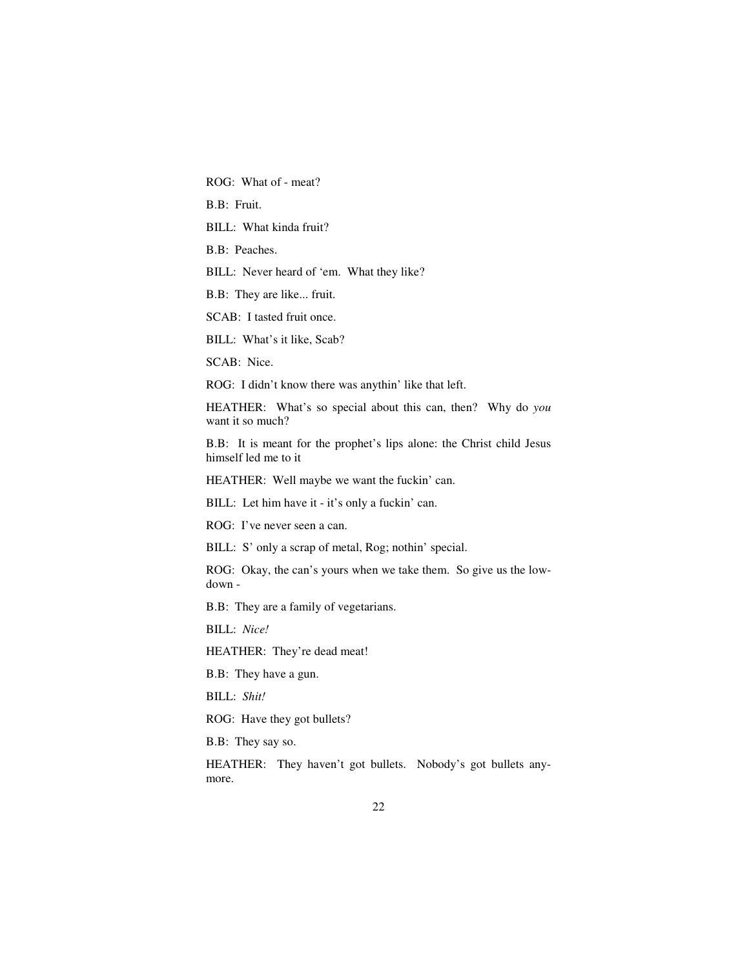ROG: What of - meat?

B.B: Fruit.

BILL: What kinda fruit?

B.B: Peaches.

BILL: Never heard of 'em. What they like?

B.B: They are like... fruit.

SCAB: I tasted fruit once.

BILL: What's it like, Scab?

SCAB: Nice.

ROG: I didn't know there was anythin' like that left.

HEATHER: What's so special about this can, then? Why do *you*  want it so much?

B.B: It is meant for the prophet's lips alone: the Christ child Jesus himself led me to it

HEATHER: Well maybe we want the fuckin' can.

BILL: Let him have it - it's only a fuckin' can.

ROG: I've never seen a can.

BILL: S' only a scrap of metal, Rog; nothin' special.

ROG: Okay, the can's yours when we take them. So give us the lowdown -

B.B: They are a family of vegetarians.

BILL: *Nice!* 

HEATHER: They're dead meat!

B.B: They have a gun.

BILL: *Shit!* 

ROG: Have they got bullets?

B.B: They say so.

HEATHER: They haven't got bullets. Nobody's got bullets anymore.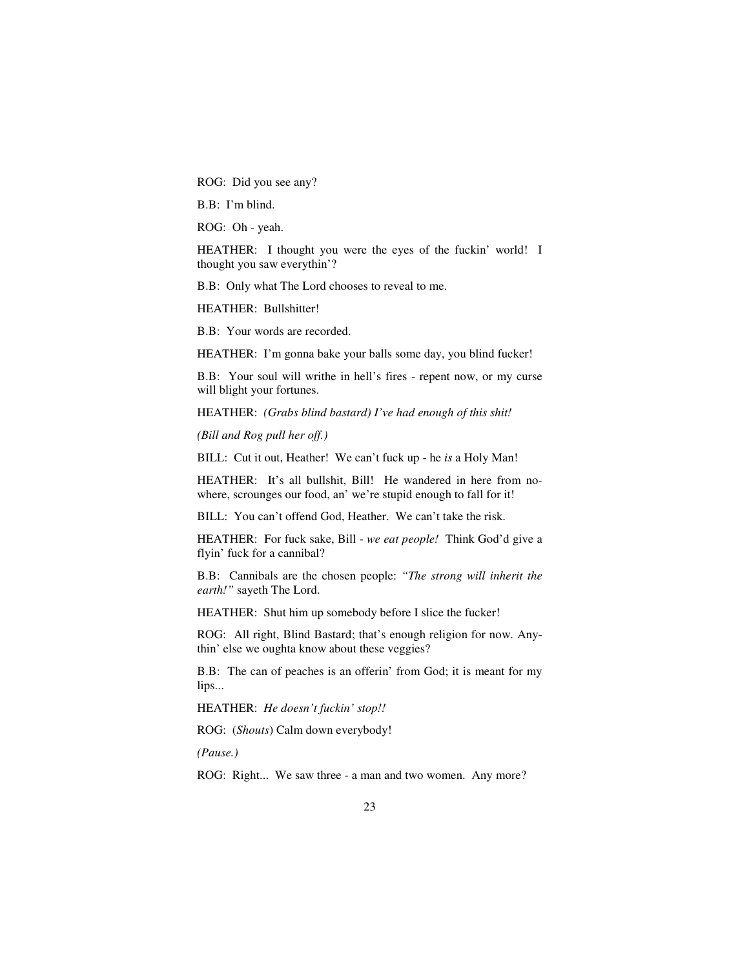ROG: Did you see any?

B.B: I'm blind.

ROG: Oh - yeah.

HEATHER: I thought you were the eyes of the fuckin' world! I thought you saw everythin'?

B.B: Only what The Lord chooses to reveal to me.

HEATHER: Bullshitter!

B.B: Your words are recorded.

HEATHER: I'm gonna bake your balls some day, you blind fucker!

B.B: Your soul will writhe in hell's fires - repent now, or my curse will blight your fortunes.

HEATHER: *(Grabs blind bastard) I've had enough of this shit!*

*(Bill and Rog pull her off.)* 

BILL: Cut it out, Heather! We can't fuck up - he *is* a Holy Man!

HEATHER: It's all bullshit, Bill! He wandered in here from nowhere, scrounges our food, an' we're stupid enough to fall for it!

BILL: You can't offend God, Heather. We can't take the risk.

HEATHER: For fuck sake, Bill - *we eat people!* Think God'd give a flyin' fuck for a cannibal?

B.B: Cannibals are the chosen people: *"The strong will inherit the earth!"* sayeth The Lord.

HEATHER: Shut him up somebody before I slice the fucker!

ROG: All right, Blind Bastard; that's enough religion for now. Anythin' else we oughta know about these veggies?

B.B: The can of peaches is an offerin' from God; it is meant for my lips...

HEATHER: *He doesn't fuckin' stop!!* 

ROG: (*Shouts*) Calm down everybody!

*(Pause.)* 

ROG: Right... We saw three - a man and two women. Any more?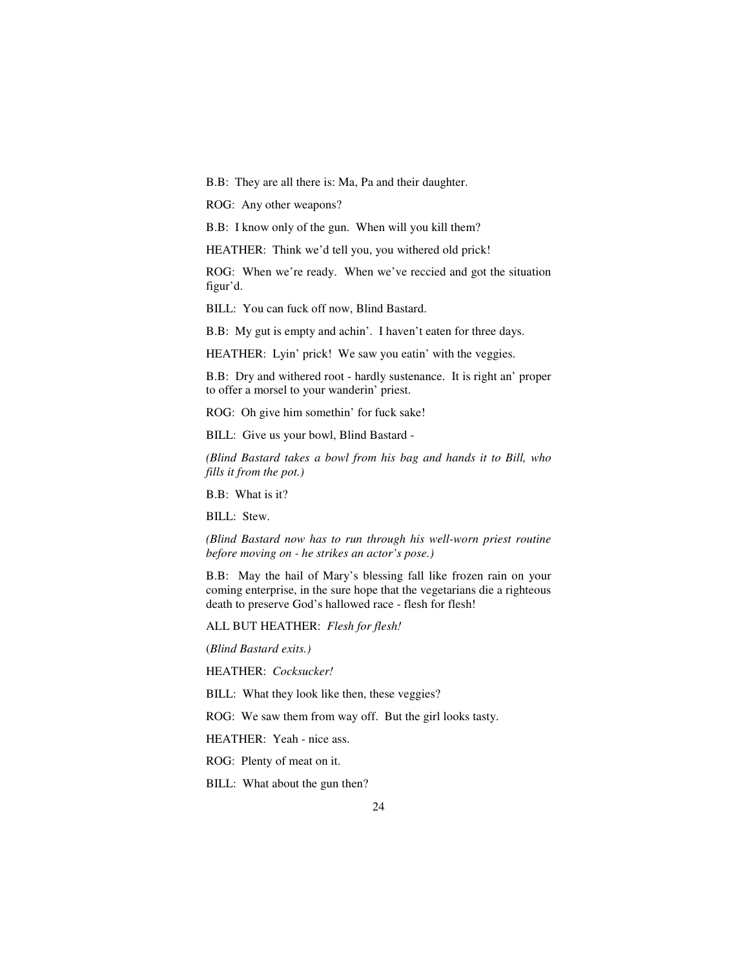B.B: They are all there is: Ma, Pa and their daughter.

ROG: Any other weapons?

B.B: I know only of the gun. When will you kill them?

HEATHER: Think we'd tell you, you withered old prick!

ROG: When we're ready. When we've reccied and got the situation figur'd.

BILL: You can fuck off now, Blind Bastard.

B.B: My gut is empty and achin'. I haven't eaten for three days.

HEATHER: Lyin' prick! We saw you eatin' with the veggies.

B.B: Dry and withered root - hardly sustenance. It is right an' proper to offer a morsel to your wanderin' priest.

ROG: Oh give him somethin' for fuck sake!

BILL: Give us your bowl, Blind Bastard -

*(Blind Bastard takes a bowl from his bag and hands it to Bill, who fills it from the pot.)* 

B.B: What is it?

BILL: Stew.

*(Blind Bastard now has to run through his well-worn priest routine before moving on - he strikes an actor's pose.)* 

B.B: May the hail of Mary's blessing fall like frozen rain on your coming enterprise, in the sure hope that the vegetarians die a righteous death to preserve God's hallowed race - flesh for flesh!

ALL BUT HEATHER: *Flesh for flesh!* 

(*Blind Bastard exits.)* 

HEATHER: *Cocksucker!* 

BILL: What they look like then, these veggies?

ROG: We saw them from way off. But the girl looks tasty.

HEATHER: Yeah - nice ass.

ROG: Plenty of meat on it.

BILL: What about the gun then?